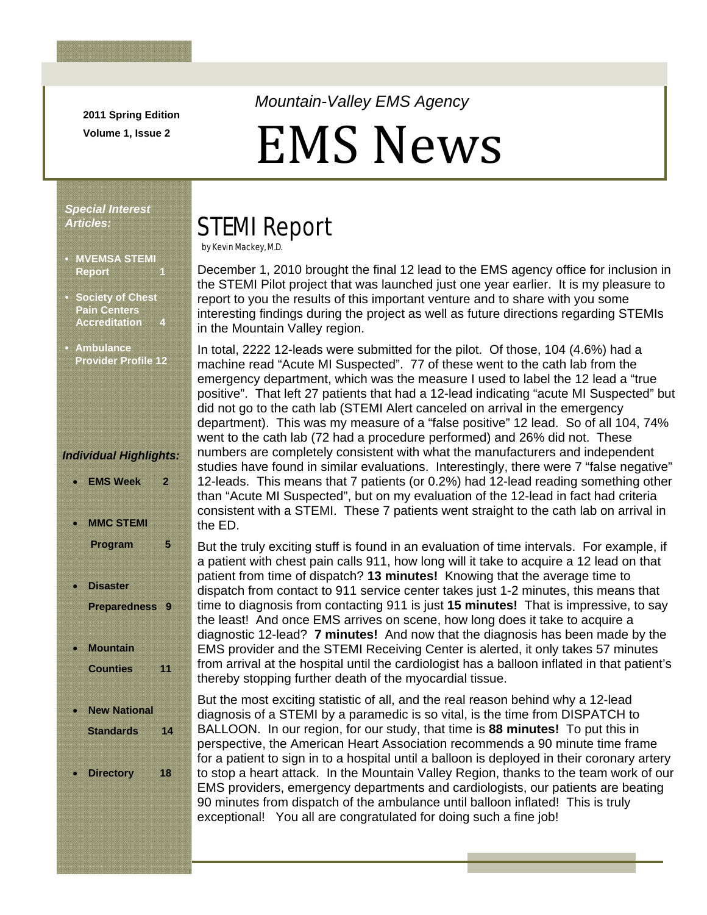**2011 Spring Edition Volume 1, Issue 2** 

### *Mountain-Valley EMS Agency*

# EMS News

#### *Special Interest Articles:*

Ī

- **MVEMSA STEMI Report**
- **Society of Chest Pain Centers Accreditation**
- **Ambulance Provider Profile 12**

#### *Individual Highlights:*

- **EMS Week 2 MMC STEMI Program 5**
- **Disaster Preparedness 9**
- **Mountain Counties 11**
- **New National Standards 14**
- **Directory 18**

# STEMI Report

by Kevin Mackey, M.D.

December 1, 2010 brought the final 12 lead to the EMS agency office for inclusion in the STEMI Pilot project that was launched just one year earlier. It is my pleasure to report to you the results of this important venture and to share with you some interesting findings during the project as well as future directions regarding STEMIs in the Mountain Valley region.

In total, 2222 12-leads were submitted for the pilot. Of those, 104 (4.6%) had a machine read "Acute MI Suspected". 77 of these went to the cath lab from the emergency department, which was the measure I used to label the 12 lead a "true positive". That left 27 patients that had a 12-lead indicating "acute MI Suspected" but did not go to the cath lab (STEMI Alert canceled on arrival in the emergency department). This was my measure of a "false positive" 12 lead. So of all 104, 74% went to the cath lab (72 had a procedure performed) and 26% did not. These numbers are completely consistent with what the manufacturers and independent studies have found in similar evaluations. Interestingly, there were 7 "false negative" 12-leads. This means that 7 patients (or 0.2%) had 12-lead reading something other than "Acute MI Suspected", but on my evaluation of the 12-lead in fact had criteria consistent with a STEMI. These 7 patients went straight to the cath lab on arrival in the ED.

But the truly exciting stuff is found in an evaluation of time intervals. For example, if a patient with chest pain calls 911, how long will it take to acquire a 12 lead on that patient from time of dispatch? **13 minutes!** Knowing that the average time to dispatch from contact to 911 service center takes just 1-2 minutes, this means that time to diagnosis from contacting 911 is just **15 minutes!** That is impressive, to say the least! And once EMS arrives on scene, how long does it take to acquire a diagnostic 12-lead? **7 minutes!** And now that the diagnosis has been made by the EMS provider and the STEMI Receiving Center is alerted, it only takes 57 minutes from arrival at the hospital until the cardiologist has a balloon inflated in that patient's thereby stopping further death of the myocardial tissue.

But the most exciting statistic of all, and the real reason behind why a 12-lead diagnosis of a STEMI by a paramedic is so vital, is the time from DISPATCH to BALLOON. In our region, for our study, that time is **88 minutes!** To put this in perspective, the American Heart Association recommends a 90 minute time frame for a patient to sign in to a hospital until a balloon is deployed in their coronary artery to stop a heart attack. In the Mountain Valley Region, thanks to the team work of our EMS providers, emergency departments and cardiologists, our patients are beating 90 minutes from dispatch of the ambulance until balloon inflated! This is truly exceptional! You all are congratulated for doing such a fine job!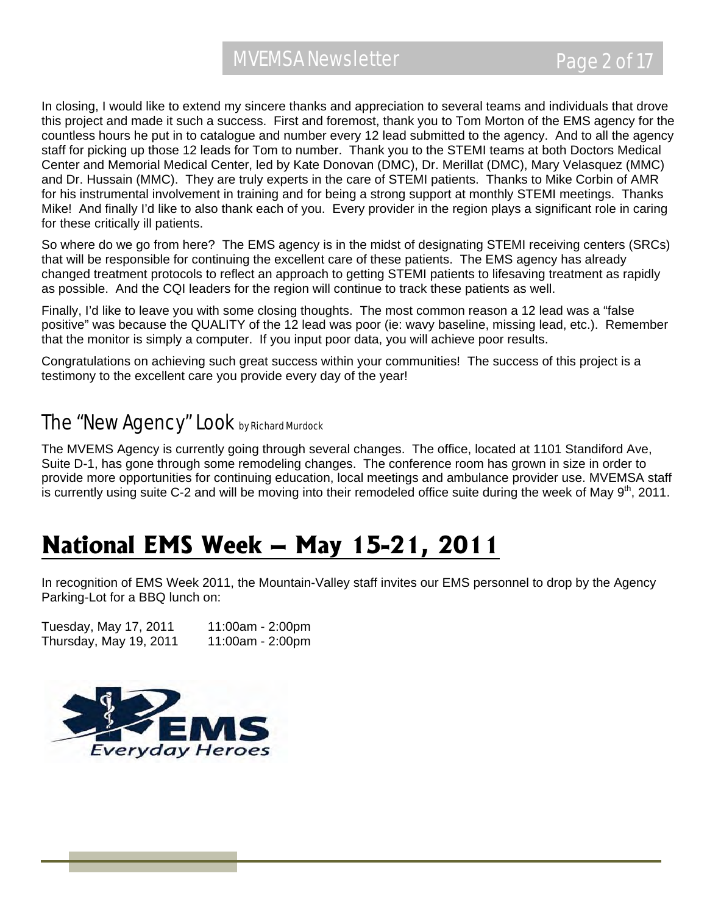In closing, I would like to extend my sincere thanks and appreciation to several teams and individuals that drove this project and made it such a success. First and foremost, thank you to Tom Morton of the EMS agency for the countless hours he put in to catalogue and number every 12 lead submitted to the agency. And to all the agency staff for picking up those 12 leads for Tom to number. Thank you to the STEMI teams at both Doctors Medical Center and Memorial Medical Center, led by Kate Donovan (DMC), Dr. Merillat (DMC), Mary Velasquez (MMC) and Dr. Hussain (MMC). They are truly experts in the care of STEMI patients. Thanks to Mike Corbin of AMR for his instrumental involvement in training and for being a strong support at monthly STEMI meetings. Thanks Mike! And finally I'd like to also thank each of you. Every provider in the region plays a significant role in caring for these critically ill patients.

So where do we go from here? The EMS agency is in the midst of designating STEMI receiving centers (SRCs) that will be responsible for continuing the excellent care of these patients. The EMS agency has already changed treatment protocols to reflect an approach to getting STEMI patients to lifesaving treatment as rapidly as possible. And the CQI leaders for the region will continue to track these patients as well.

Finally, I'd like to leave you with some closing thoughts. The most common reason a 12 lead was a "false positive" was because the QUALITY of the 12 lead was poor (ie: wavy baseline, missing lead, etc.). Remember that the monitor is simply a computer. If you input poor data, you will achieve poor results.

Congratulations on achieving such great success within your communities! The success of this project is a testimony to the excellent care you provide every day of the year!

### The "New Agency" Look by Richard Murdock

The MVEMS Agency is currently going through several changes. The office, located at 1101 Standiford Ave, Suite D-1, has gone through some remodeling changes. The conference room has grown in size in order to provide more opportunities for continuing education, local meetings and ambulance provider use. MVEMSA staff is currently using suite C-2 and will be moving into their remodeled office suite during the week of May  $9<sup>th</sup>$ , 2011.

## **National EMS Week – May 15-21, 2011**

In recognition of EMS Week 2011, the Mountain-Valley staff invites our EMS personnel to drop by the Agency Parking-Lot for a BBQ lunch on:

Tuesday, May 17, 2011 11:00am - 2:00pm Thursday, May 19, 2011 11:00am - 2:00pm

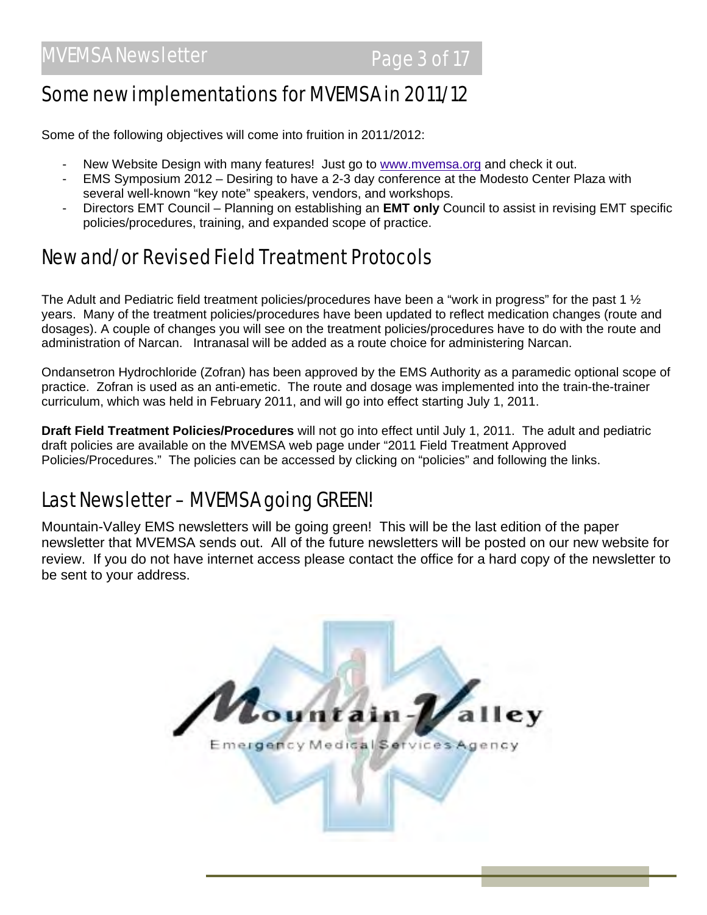### Some new implementations for MVEMSA in 2011/12

Some of the following objectives will come into fruition in 2011/2012:

- New Website Design with many features! Just go to www.mvemsa.org and check it out.
- EMS Symposium 2012 Desiring to have a 2-3 day conference at the Modesto Center Plaza with several well-known "key note" speakers, vendors, and workshops.
- Directors EMT Council Planning on establishing an **EMT only** Council to assist in revising EMT specific policies/procedures, training, and expanded scope of practice.

### New and/or Revised Field Treatment Protocols

The Adult and Pediatric field treatment policies/procedures have been a "work in progress" for the past 1  $\frac{1}{2}$ years. Many of the treatment policies/procedures have been updated to reflect medication changes (route and dosages). A couple of changes you will see on the treatment policies/procedures have to do with the route and administration of Narcan. Intranasal will be added as a route choice for administering Narcan.

Ondansetron Hydrochloride (Zofran) has been approved by the EMS Authority as a paramedic optional scope of practice. Zofran is used as an anti-emetic. The route and dosage was implemented into the train-the-trainer curriculum, which was held in February 2011, and will go into effect starting July 1, 2011.

**Draft Field Treatment Policies/Procedures** will not go into effect until July 1, 2011. The adult and pediatric draft policies are available on the MVEMSA web page under "2011 Field Treatment Approved Policies/Procedures." The policies can be accessed by clicking on "policies" and following the links.

### Last Newsletter – MVEMSA going GREEN!

Mountain-Valley EMS newsletters will be going green! This will be the last edition of the paper newsletter that MVEMSA sends out. All of the future newsletters will be posted on our new website for review. If you do not have internet access please contact the office for a hard copy of the newsletter to be sent to your address.

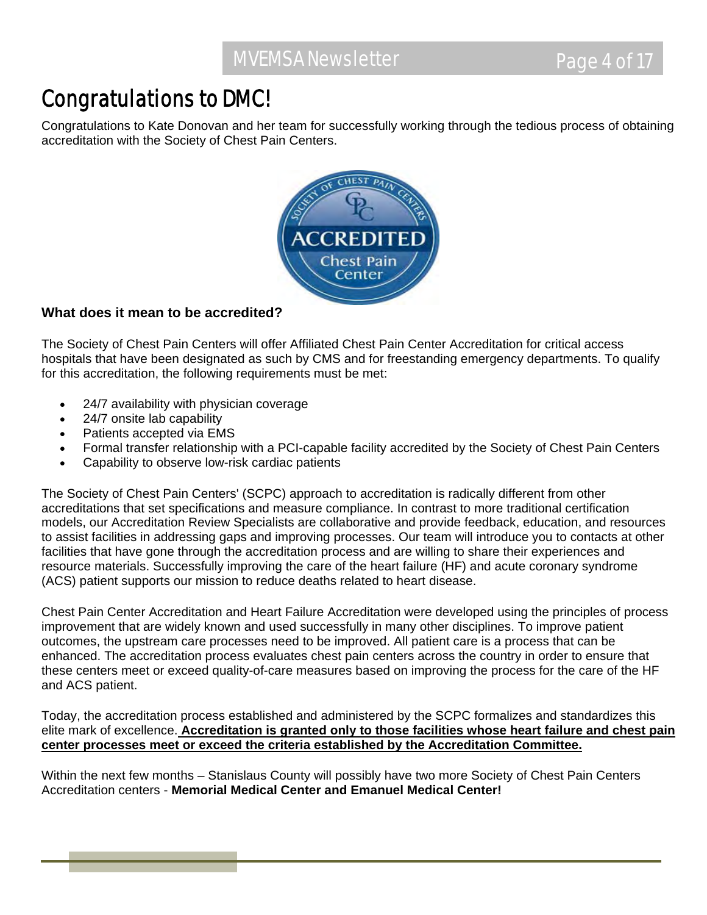## Congratulations to DMC!

Congratulations to Kate Donovan and her team for successfully working through the tedious process of obtaining accreditation with the Society of Chest Pain Centers.



### **What does it mean to be accredited?**

The Society of Chest Pain Centers will offer Affiliated Chest Pain Center Accreditation for critical access hospitals that have been designated as such by CMS and for freestanding emergency departments. To qualify for this accreditation, the following requirements must be met:

- 24/7 availability with physician coverage
- 24/7 onsite lab capability
- Patients accepted via EMS
- Formal transfer relationship with a PCI-capable facility accredited by the Society of Chest Pain Centers
- Capability to observe low-risk cardiac patients

The Society of Chest Pain Centers' (SCPC) approach to accreditation is radically different from other accreditations that set specifications and measure compliance. In contrast to more traditional certification models, our Accreditation Review Specialists are collaborative and provide feedback, education, and resources to assist facilities in addressing gaps and improving processes. Our team will introduce you to contacts at other facilities that have gone through the accreditation process and are willing to share their experiences and resource materials. Successfully improving the care of the heart failure (HF) and acute coronary syndrome (ACS) patient supports our mission to reduce deaths related to heart disease.

Chest Pain Center Accreditation and Heart Failure Accreditation were developed using the principles of process improvement that are widely known and used successfully in many other disciplines. To improve patient outcomes, the upstream care processes need to be improved. All patient care is a process that can be enhanced. The accreditation process evaluates chest pain centers across the country in order to ensure that these centers meet or exceed quality-of-care measures based on improving the process for the care of the HF and ACS patient.

Today, the accreditation process established and administered by the SCPC formalizes and standardizes this elite mark of excellence. **Accreditation is granted only to those facilities whose heart failure and chest pain center processes meet or exceed the criteria established by the Accreditation Committee.** 

Within the next few months – Stanislaus County will possibly have two more Society of Chest Pain Centers Accreditation centers - **Memorial Medical Center and Emanuel Medical Center!**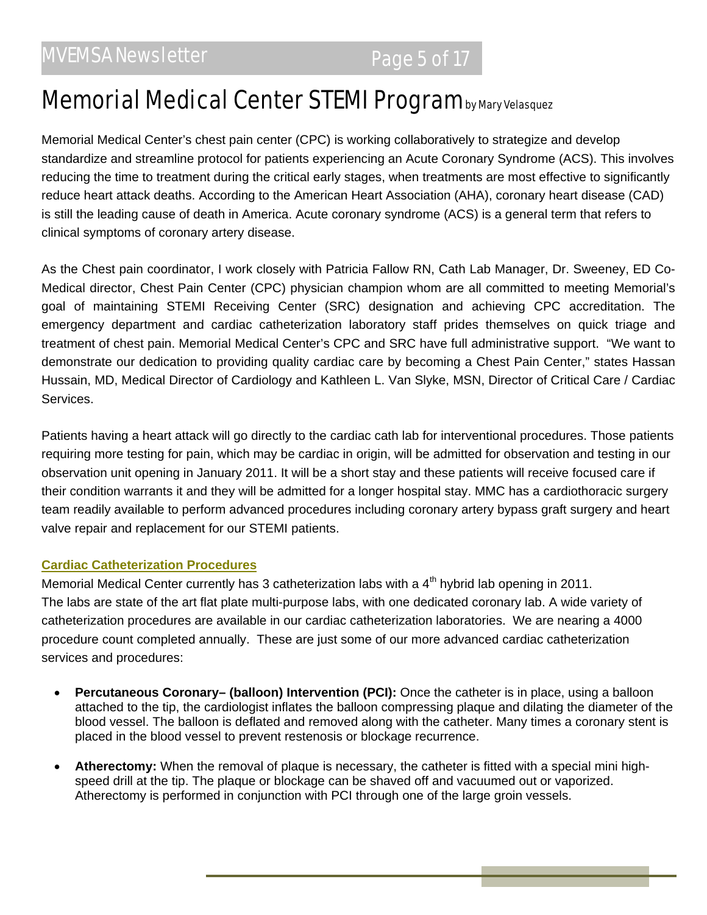## Memorial Medical Center STEMI Program by Mary Velasquez

Memorial Medical Center's chest pain center (CPC) is working collaboratively to strategize and develop standardize and streamline protocol for patients experiencing an Acute Coronary Syndrome (ACS). This involves reducing the time to treatment during the critical early stages, when treatments are most effective to significantly reduce heart attack deaths. According to the American Heart Association (AHA), coronary heart disease (CAD) is still the leading cause of death in America. Acute coronary syndrome (ACS) is a general term that refers to clinical symptoms of coronary artery disease.

As the Chest pain coordinator, I work closely with Patricia Fallow RN, Cath Lab Manager, Dr. Sweeney, ED Co-Medical director, Chest Pain Center (CPC) physician champion whom are all committed to meeting Memorial's goal of maintaining STEMI Receiving Center (SRC) designation and achieving CPC accreditation. The emergency department and cardiac catheterization laboratory staff prides themselves on quick triage and treatment of chest pain. Memorial Medical Center's CPC and SRC have full administrative support. "We want to demonstrate our dedication to providing quality cardiac care by becoming a Chest Pain Center," states Hassan Hussain, MD, Medical Director of Cardiology and Kathleen L. Van Slyke, MSN, Director of Critical Care / Cardiac Services.

Patients having a heart attack will go directly to the cardiac cath lab for interventional procedures. Those patients requiring more testing for pain, which may be cardiac in origin, will be admitted for observation and testing in our observation unit opening in January 2011. It will be a short stay and these patients will receive focused care if their condition warrants it and they will be admitted for a longer hospital stay. MMC has a cardiothoracic surgery team readily available to perform advanced procedures including coronary artery bypass graft surgery and heart valve repair and replacement for our STEMI patients.

#### **Cardiac Catheterization Procedures**

Memorial Medical Center currently has 3 catheterization labs with a 4<sup>th</sup> hybrid lab opening in 2011. The labs are state of the art flat plate multi-purpose labs, with one dedicated coronary lab. A wide variety of catheterization procedures are available in our cardiac catheterization laboratories. We are nearing a 4000 procedure count completed annually. These are just some of our more advanced cardiac catheterization services and procedures:

- **Percutaneous Coronary– (balloon) Intervention (PCI):** Once the catheter is in place, using a balloon attached to the tip, the cardiologist inflates the balloon compressing plaque and dilating the diameter of the blood vessel. The balloon is deflated and removed along with the catheter. Many times a coronary stent is placed in the blood vessel to prevent restenosis or blockage recurrence.
- **Atherectomy:** When the removal of plaque is necessary, the catheter is fitted with a special mini highspeed drill at the tip. The plaque or blockage can be shaved off and vacuumed out or vaporized. Atherectomy is performed in conjunction with PCI through one of the large groin vessels.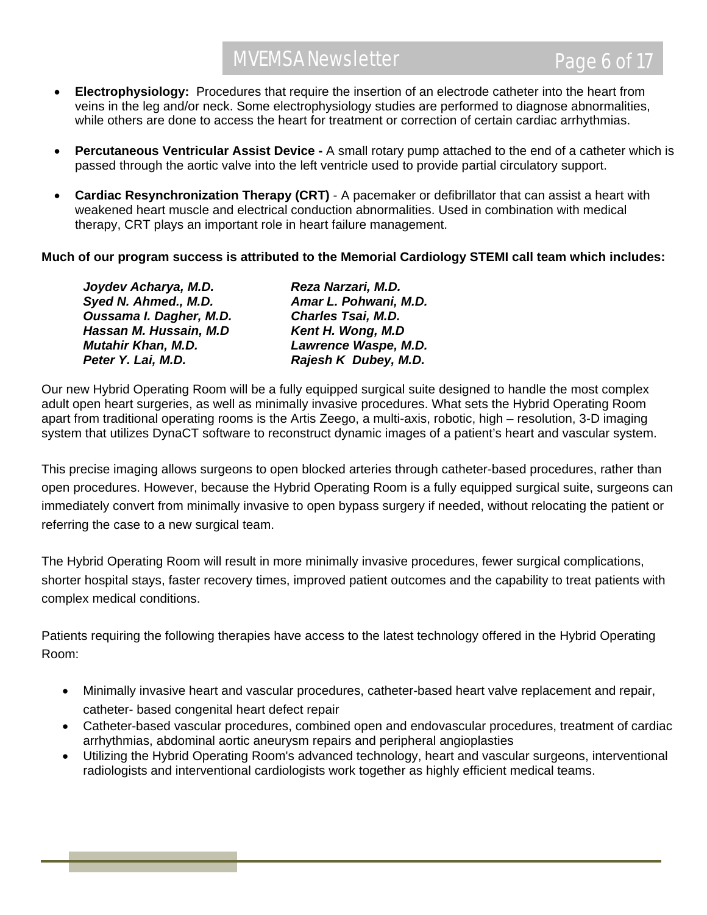- **Electrophysiology:** Procedures that require the insertion of an electrode catheter into the heart from veins in the leg and/or neck. Some electrophysiology studies are performed to diagnose abnormalities, while others are done to access the heart for treatment or correction of certain cardiac arrhythmias.
- **Percutaneous Ventricular Assist Device -** A small rotary pump attached to the end of a catheter which is passed through the aortic valve into the left ventricle used to provide partial circulatory support.
- **Cardiac Resynchronization Therapy (CRT)** A pacemaker or defibrillator that can assist a heart with weakened heart muscle and electrical conduction abnormalities. Used in combination with medical therapy, CRT plays an important role in heart failure management.

**Much of our program success is attributed to the Memorial Cardiology STEMI call team which includes:** 

| Joydev Acharya, M.D.      | Reza Narzari, M.D.        |
|---------------------------|---------------------------|
| Syed N. Ahmed., M.D.      | Amar L. Pohwani, M.D.     |
| Oussama I. Dagher, M.D.   | <b>Charles Tsai, M.D.</b> |
| Hassan M. Hussain, M.D    | Kent H. Wong, M.D         |
| <b>Mutahir Khan, M.D.</b> | Lawrence Waspe, M.D.      |
| Peter Y. Lai, M.D.        | Rajesh K Dubey, M.D.      |

Our new Hybrid Operating Room will be a fully equipped surgical suite designed to handle the most complex adult open heart surgeries, as well as minimally invasive procedures. What sets the Hybrid Operating Room apart from traditional operating rooms is the Artis Zeego, a multi-axis, robotic, high – resolution, 3-D imaging system that utilizes DynaCT software to reconstruct dynamic images of a patient's heart and vascular system.

This precise imaging allows surgeons to open blocked arteries through catheter-based procedures, rather than open procedures. However, because the Hybrid Operating Room is a fully equipped surgical suite, surgeons can immediately convert from minimally invasive to open bypass surgery if needed, without relocating the patient or referring the case to a new surgical team.

The Hybrid Operating Room will result in more minimally invasive procedures, fewer surgical complications, shorter hospital stays, faster recovery times, improved patient outcomes and the capability to treat patients with complex medical conditions.

Patients requiring the following therapies have access to the latest technology offered in the Hybrid Operating Room:

- Minimally invasive heart and vascular procedures, catheter-based heart valve replacement and repair, catheter- based congenital heart defect repair
- Catheter-based vascular procedures, combined open and endovascular procedures, treatment of cardiac arrhythmias, abdominal aortic aneurysm repairs and peripheral angioplasties
- Utilizing the Hybrid Operating Room's advanced technology, heart and vascular surgeons, interventional radiologists and interventional cardiologists work together as highly efficient medical teams.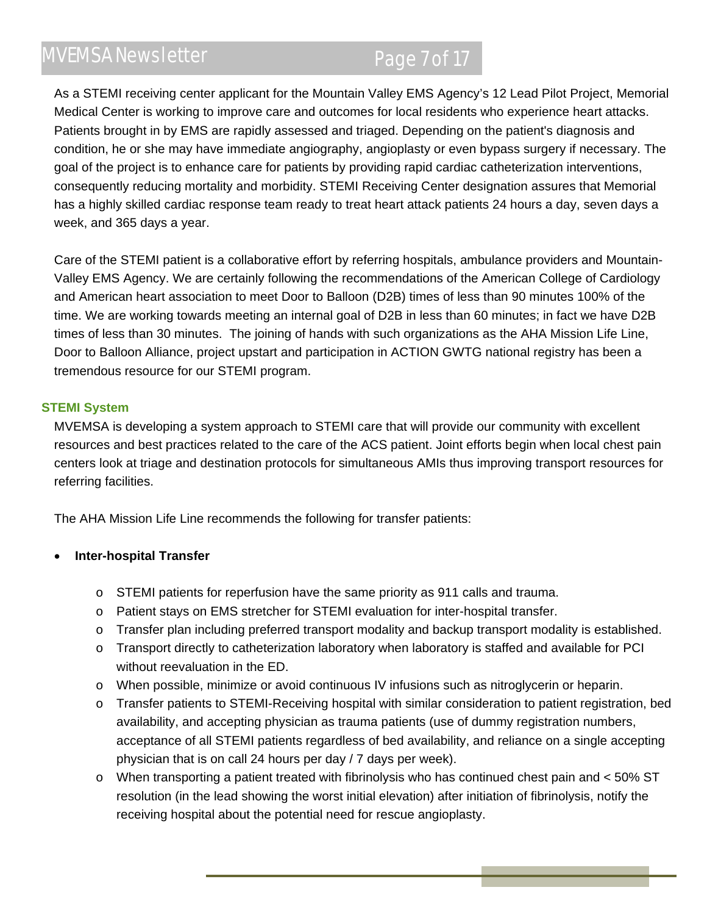## MVEMSA Newsletter Page 7 of 17

As a STEMI receiving center applicant for the Mountain Valley EMS Agency's 12 Lead Pilot Project, Memorial Medical Center is working to improve care and outcomes for local residents who experience heart attacks. Patients brought in by EMS are rapidly assessed and triaged. Depending on the patient's diagnosis and condition, he or she may have immediate angiography, angioplasty or even bypass surgery if necessary. The goal of the project is to enhance care for patients by providing rapid cardiac catheterization interventions, consequently reducing mortality and morbidity. STEMI Receiving Center designation assures that Memorial has a highly skilled cardiac response team ready to treat heart attack patients 24 hours a day, seven days a week, and 365 days a year.

Care of the STEMI patient is a collaborative effort by referring hospitals, ambulance providers and Mountain-Valley EMS Agency. We are certainly following the recommendations of the American College of Cardiology and American heart association to meet Door to Balloon (D2B) times of less than 90 minutes 100% of the time. We are working towards meeting an internal goal of D2B in less than 60 minutes; in fact we have D2B times of less than 30 minutes. The joining of hands with such organizations as the AHA Mission Life Line, Door to Balloon Alliance, project upstart and participation in ACTION GWTG national registry has been a tremendous resource for our STEMI program.

#### **STEMI System**

MVEMSA is developing a system approach to STEMI care that will provide our community with excellent resources and best practices related to the care of the ACS patient. Joint efforts begin when local chest pain centers look at triage and destination protocols for simultaneous AMIs thus improving transport resources for referring facilities.

The AHA Mission Life Line recommends the following for transfer patients:

### **Inter-hospital Transfer**

- o STEMI patients for reperfusion have the same priority as 911 calls and trauma.
- o Patient stays on EMS stretcher for STEMI evaluation for inter-hospital transfer.
- o Transfer plan including preferred transport modality and backup transport modality is established.
- o Transport directly to catheterization laboratory when laboratory is staffed and available for PCI without reevaluation in the ED.
- o When possible, minimize or avoid continuous IV infusions such as nitroglycerin or heparin.
- o Transfer patients to STEMI-Receiving hospital with similar consideration to patient registration, bed availability, and accepting physician as trauma patients (use of dummy registration numbers, acceptance of all STEMI patients regardless of bed availability, and reliance on a single accepting physician that is on call 24 hours per day / 7 days per week).
- $\circ$  When transporting a patient treated with fibrinolysis who has continued chest pain and < 50% ST resolution (in the lead showing the worst initial elevation) after initiation of fibrinolysis, notify the receiving hospital about the potential need for rescue angioplasty.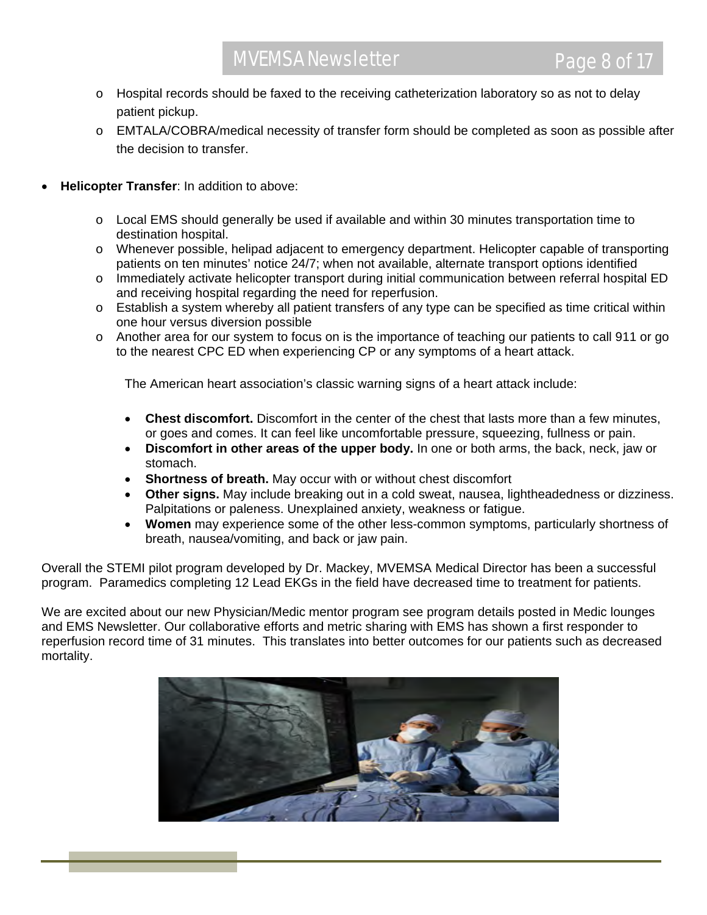- o Hospital records should be faxed to the receiving catheterization laboratory so as not to delay patient pickup.
- o EMTALA/COBRA/medical necessity of transfer form should be completed as soon as possible after the decision to transfer.
- **Helicopter Transfer**: In addition to above:
	- o Local EMS should generally be used if available and within 30 minutes transportation time to destination hospital.
	- o Whenever possible, helipad adjacent to emergency department. Helicopter capable of transporting patients on ten minutes' notice 24/7; when not available, alternate transport options identified
	- o Immediately activate helicopter transport during initial communication between referral hospital ED and receiving hospital regarding the need for reperfusion.
	- $\circ$  Establish a system whereby all patient transfers of any type can be specified as time critical within one hour versus diversion possible
	- o Another area for our system to focus on is the importance of teaching our patients to call 911 or go to the nearest CPC ED when experiencing CP or any symptoms of a heart attack.

The American heart association's classic warning signs of a heart attack include:

- **Chest discomfort.** Discomfort in the center of the chest that lasts more than a few minutes, or goes and comes. It can feel like uncomfortable pressure, squeezing, fullness or pain.
- **Discomfort in other areas of the upper body.** In one or both arms, the back, neck, jaw or stomach.
- **Shortness of breath.** May occur with or without chest discomfort
- **Other signs.** May include breaking out in a cold sweat, nausea, lightheadedness or dizziness. Palpitations or paleness. Unexplained anxiety, weakness or fatigue.
- **Women** may experience some of the other less-common symptoms, particularly shortness of breath, nausea/vomiting, and back or jaw pain.

Overall the STEMI pilot program developed by Dr. Mackey, MVEMSA Medical Director has been a successful program. Paramedics completing 12 Lead EKGs in the field have decreased time to treatment for patients.

We are excited about our new Physician/Medic mentor program see program details posted in Medic lounges and EMS Newsletter. Our collaborative efforts and metric sharing with EMS has shown a first responder to reperfusion record time of 31 minutes. This translates into better outcomes for our patients such as decreased mortality.

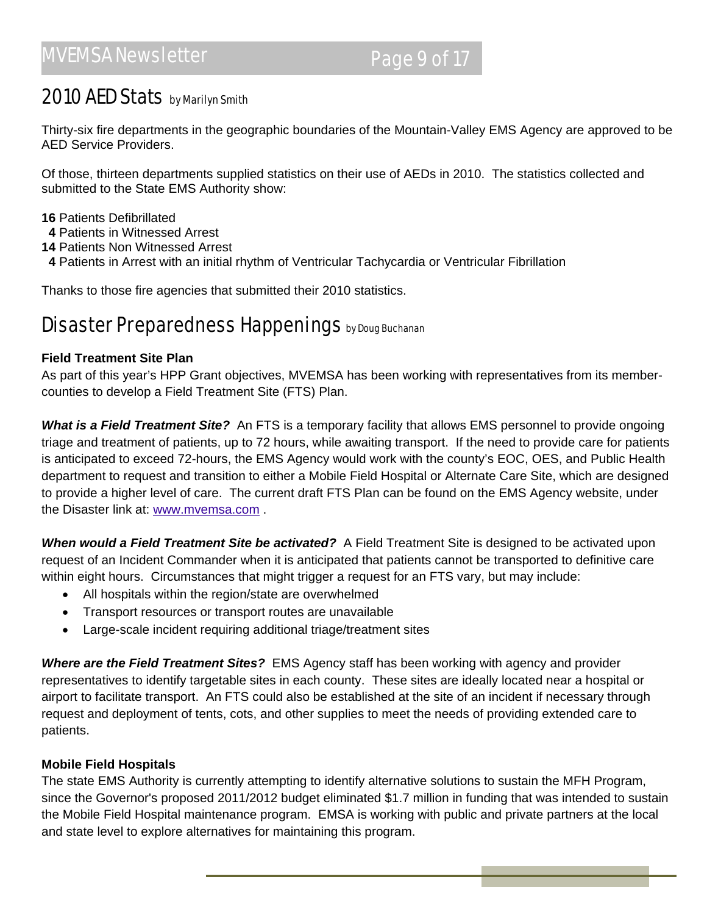### 2010 AED Stats by Marilyn Smith

Thirty-six fire departments in the geographic boundaries of the Mountain-Valley EMS Agency are approved to be AED Service Providers.

Of those, thirteen departments supplied statistics on their use of AEDs in 2010. The statistics collected and submitted to the State EMS Authority show:

#### **16** Patients Defibrillated

- **4** Patients in Witnessed Arrest
- **14** Patients Non Witnessed Arrest
- **4** Patients in Arrest with an initial rhythm of Ventricular Tachycardia or Ventricular Fibrillation

Thanks to those fire agencies that submitted their 2010 statistics.

### Disaster Preparedness Happenings by Doug Buchanan

#### **Field Treatment Site Plan**

As part of this year's HPP Grant objectives, MVEMSA has been working with representatives from its membercounties to develop a Field Treatment Site (FTS) Plan.

*What is a Field Treatment Site?* An FTS is a temporary facility that allows EMS personnel to provide ongoing triage and treatment of patients, up to 72 hours, while awaiting transport. If the need to provide care for patients is anticipated to exceed 72-hours, the EMS Agency would work with the county's EOC, OES, and Public Health department to request and transition to either a Mobile Field Hospital or Alternate Care Site, which are designed to provide a higher level of care. The current draft FTS Plan can be found on the EMS Agency website, under the Disaster link at: www.mvemsa.com .

*When would a Field Treatment Site be activated?* A Field Treatment Site is designed to be activated upon request of an Incident Commander when it is anticipated that patients cannot be transported to definitive care within eight hours. Circumstances that might trigger a request for an FTS vary, but may include:

- All hospitals within the region/state are overwhelmed
- Transport resources or transport routes are unavailable
- Large-scale incident requiring additional triage/treatment sites

*Where are the Field Treatment Sites?* EMS Agency staff has been working with agency and provider representatives to identify targetable sites in each county. These sites are ideally located near a hospital or airport to facilitate transport. An FTS could also be established at the site of an incident if necessary through request and deployment of tents, cots, and other supplies to meet the needs of providing extended care to patients.

#### **Mobile Field Hospitals**

The state EMS Authority is currently attempting to identify alternative solutions to sustain the MFH Program, since the Governor's proposed 2011/2012 budget eliminated \$1.7 million in funding that was intended to sustain the Mobile Field Hospital maintenance program. EMSA is working with public and private partners at the local and state level to explore alternatives for maintaining this program.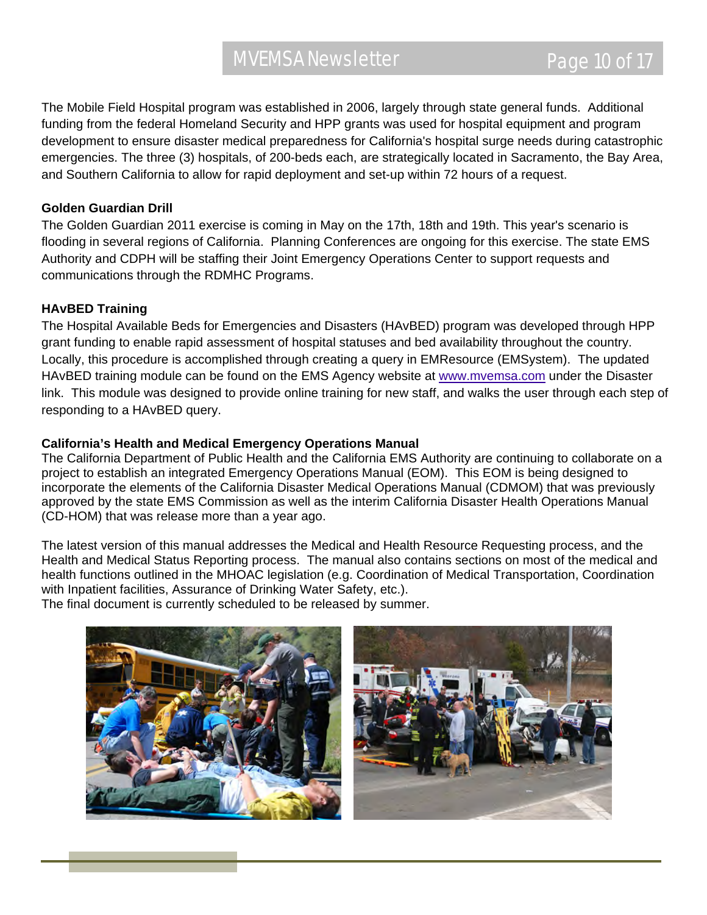The Mobile Field Hospital program was established in 2006, largely through state general funds. Additional funding from the federal Homeland Security and HPP grants was used for hospital equipment and program development to ensure disaster medical preparedness for California's hospital surge needs during catastrophic emergencies. The three (3) hospitals, of 200-beds each, are strategically located in Sacramento, the Bay Area, and Southern California to allow for rapid deployment and set-up within 72 hours of a request.

#### **Golden Guardian Drill**

The Golden Guardian 2011 exercise is coming in May on the 17th, 18th and 19th. This year's scenario is flooding in several regions of California. Planning Conferences are ongoing for this exercise. The state EMS Authority and CDPH will be staffing their Joint Emergency Operations Center to support requests and communications through the RDMHC Programs.

#### **HAvBED Training**

The Hospital Available Beds for Emergencies and Disasters (HAvBED) program was developed through HPP grant funding to enable rapid assessment of hospital statuses and bed availability throughout the country. Locally, this procedure is accomplished through creating a query in EMResource (EMSystem). The updated HAvBED training module can be found on the EMS Agency website at www.mvemsa.com under the Disaster link. This module was designed to provide online training for new staff, and walks the user through each step of responding to a HAvBED query.

#### **California's Health and Medical Emergency Operations Manual**

The California Department of Public Health and the California EMS Authority are continuing to collaborate on a project to establish an integrated Emergency Operations Manual (EOM). This EOM is being designed to incorporate the elements of the California Disaster Medical Operations Manual (CDMOM) that was previously approved by the state EMS Commission as well as the interim California Disaster Health Operations Manual (CD-HOM) that was release more than a year ago.

The latest version of this manual addresses the Medical and Health Resource Requesting process, and the Health and Medical Status Reporting process. The manual also contains sections on most of the medical and health functions outlined in the MHOAC legislation (e.g. Coordination of Medical Transportation, Coordination with Inpatient facilities, Assurance of Drinking Water Safety, etc.).

The final document is currently scheduled to be released by summer.

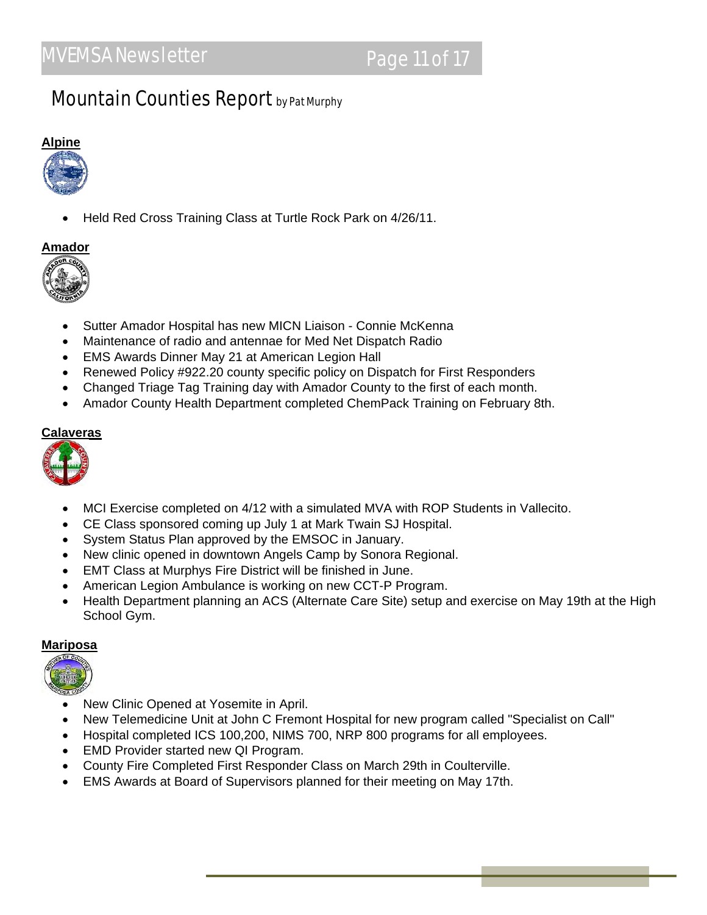### **Mountain Counties Report by Pat Murphy**

# **Alpine**

Held Red Cross Training Class at Turtle Rock Park on 4/26/11.

#### **Amador**



- Sutter Amador Hospital has new MICN Liaison Connie McKenna
- Maintenance of radio and antennae for Med Net Dispatch Radio
- EMS Awards Dinner May 21 at American Legion Hall
- Renewed Policy #922.20 county specific policy on Dispatch for First Responders
- Changed Triage Tag Training day with Amador County to the first of each month.
- Amador County Health Department completed ChemPack Training on February 8th.

#### **Calaveras**



- MCI Exercise completed on 4/12 with a simulated MVA with ROP Students in Vallecito.
- CE Class sponsored coming up July 1 at Mark Twain SJ Hospital.
- System Status Plan approved by the EMSOC in January.
- New clinic opened in downtown Angels Camp by Sonora Regional.
- EMT Class at Murphys Fire District will be finished in June.
- American Legion Ambulance is working on new CCT-P Program.
- Health Department planning an ACS (Alternate Care Site) setup and exercise on May 19th at the High School Gym.

#### **Mariposa**



- New Clinic Opened at Yosemite in April.
- New Telemedicine Unit at John C Fremont Hospital for new program called "Specialist on Call"
- Hospital completed ICS 100,200, NIMS 700, NRP 800 programs for all employees.
- EMD Provider started new QI Program.
- County Fire Completed First Responder Class on March 29th in Coulterville.
- EMS Awards at Board of Supervisors planned for their meeting on May 17th.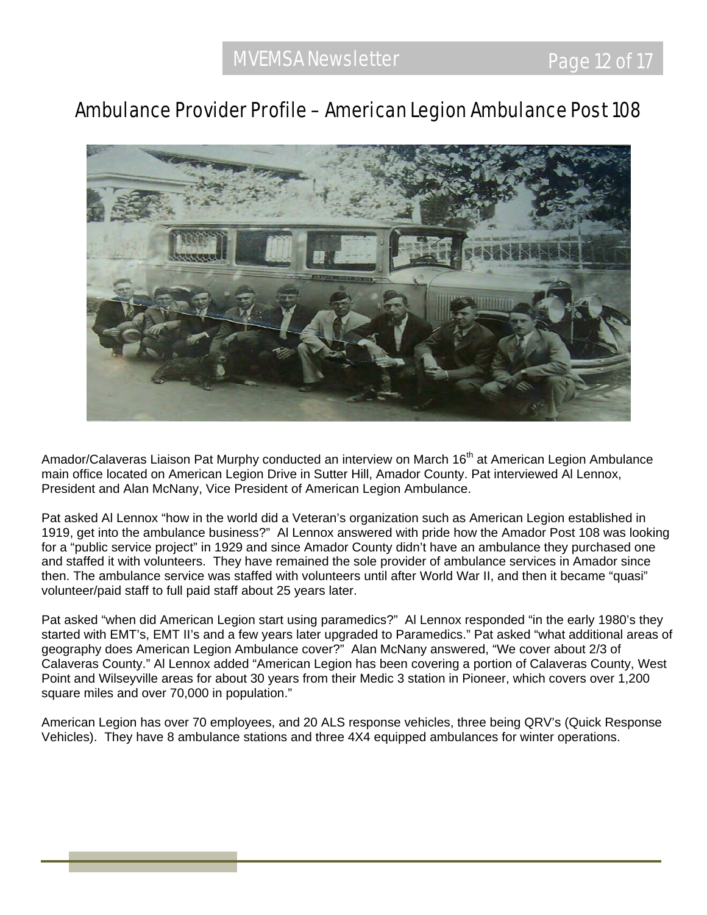### Ambulance Provider Profile – American Legion Ambulance Post 108



Amador/Calaveras Liaison Pat Murphy conducted an interview on March 16<sup>th</sup> at American Legion Ambulance main office located on American Legion Drive in Sutter Hill, Amador County. Pat interviewed Al Lennox, President and Alan McNany, Vice President of American Legion Ambulance.

Pat asked Al Lennox "how in the world did a Veteran's organization such as American Legion established in 1919, get into the ambulance business?" Al Lennox answered with pride how the Amador Post 108 was looking for a "public service project" in 1929 and since Amador County didn't have an ambulance they purchased one and staffed it with volunteers. They have remained the sole provider of ambulance services in Amador since then. The ambulance service was staffed with volunteers until after World War II, and then it became "quasi" volunteer/paid staff to full paid staff about 25 years later.

Pat asked "when did American Legion start using paramedics?" Al Lennox responded "in the early 1980's they started with EMT's, EMT II's and a few years later upgraded to Paramedics." Pat asked "what additional areas of geography does American Legion Ambulance cover?" Alan McNany answered, "We cover about 2/3 of Calaveras County." Al Lennox added "American Legion has been covering a portion of Calaveras County, West Point and Wilseyville areas for about 30 years from their Medic 3 station in Pioneer, which covers over 1,200 square miles and over 70,000 in population."

American Legion has over 70 employees, and 20 ALS response vehicles, three being QRV's (Quick Response Vehicles). They have 8 ambulance stations and three 4X4 equipped ambulances for winter operations.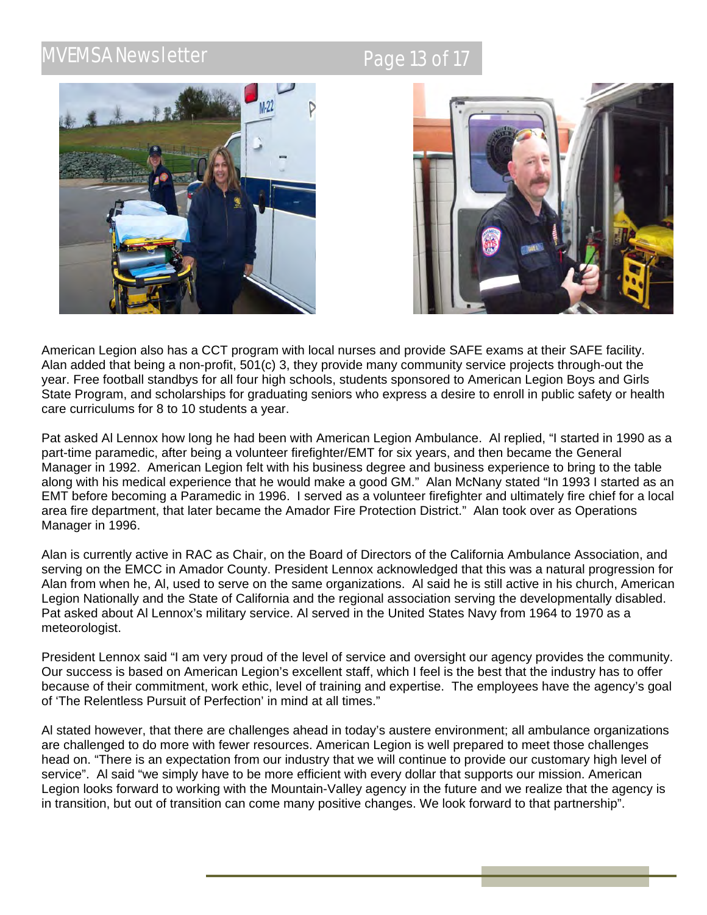## **AVEMSA Newsletter Research AVEMSA Newsletter** Page 13 of 17





American Legion also has a CCT program with local nurses and provide SAFE exams at their SAFE facility. Alan added that being a non-profit, 501(c) 3, they provide many community service projects through-out the year. Free football standbys for all four high schools, students sponsored to American Legion Boys and Girls State Program, and scholarships for graduating seniors who express a desire to enroll in public safety or health care curriculums for 8 to 10 students a year.

Pat asked Al Lennox how long he had been with American Legion Ambulance. Al replied, "I started in 1990 as a part-time paramedic, after being a volunteer firefighter/EMT for six years, and then became the General Manager in 1992. American Legion felt with his business degree and business experience to bring to the table along with his medical experience that he would make a good GM." Alan McNany stated "In 1993 I started as an EMT before becoming a Paramedic in 1996. I served as a volunteer firefighter and ultimately fire chief for a local area fire department, that later became the Amador Fire Protection District." Alan took over as Operations Manager in 1996.

Alan is currently active in RAC as Chair, on the Board of Directors of the California Ambulance Association, and serving on the EMCC in Amador County. President Lennox acknowledged that this was a natural progression for Alan from when he, Al, used to serve on the same organizations. Al said he is still active in his church, American Legion Nationally and the State of California and the regional association serving the developmentally disabled. Pat asked about Al Lennox's military service. Al served in the United States Navy from 1964 to 1970 as a meteorologist.

President Lennox said "I am very proud of the level of service and oversight our agency provides the community. Our success is based on American Legion's excellent staff, which I feel is the best that the industry has to offer because of their commitment, work ethic, level of training and expertise. The employees have the agency's goal of 'The Relentless Pursuit of Perfection' in mind at all times."

Al stated however, that there are challenges ahead in today's austere environment; all ambulance organizations are challenged to do more with fewer resources. American Legion is well prepared to meet those challenges head on. "There is an expectation from our industry that we will continue to provide our customary high level of service". Al said "we simply have to be more efficient with every dollar that supports our mission. American Legion looks forward to working with the Mountain-Valley agency in the future and we realize that the agency is in transition, but out of transition can come many positive changes. We look forward to that partnership".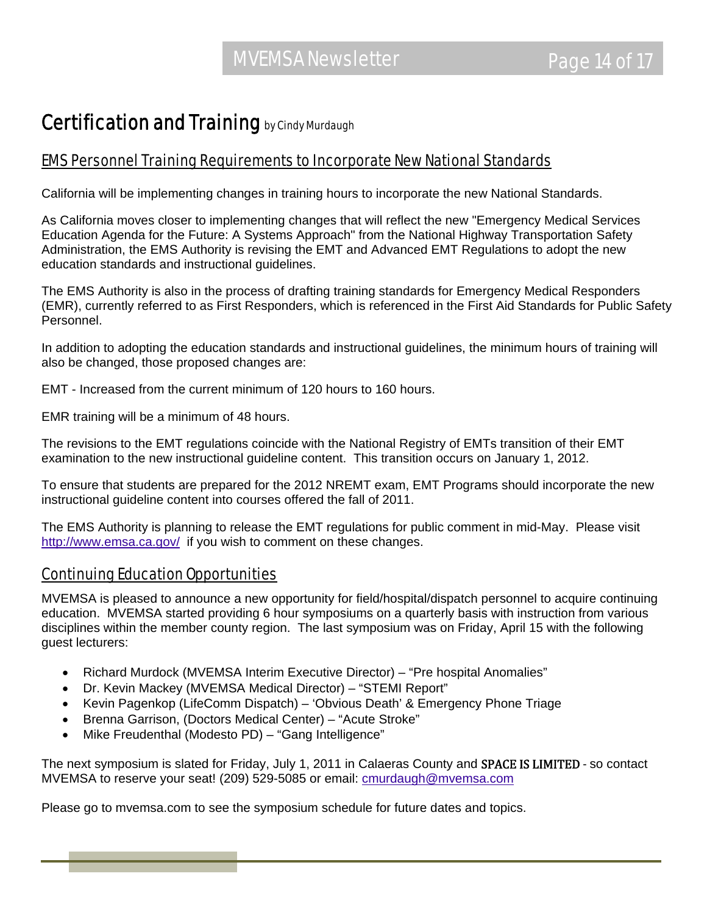### Certification and Training by Cindy Murdaugh

### EMS Personnel Training Requirements to Incorporate New National Standards

California will be implementing changes in training hours to incorporate the new National Standards.

As California moves closer to implementing changes that will reflect the new "Emergency Medical Services Education Agenda for the Future: A Systems Approach" from the National Highway Transportation Safety Administration, the EMS Authority is revising the EMT and Advanced EMT Regulations to adopt the new education standards and instructional guidelines.

The EMS Authority is also in the process of drafting training standards for Emergency Medical Responders (EMR), currently referred to as First Responders, which is referenced in the First Aid Standards for Public Safety Personnel.

In addition to adopting the education standards and instructional guidelines, the minimum hours of training will also be changed, those proposed changes are:

EMT - Increased from the current minimum of 120 hours to 160 hours.

EMR training will be a minimum of 48 hours.

The revisions to the EMT regulations coincide with the National Registry of EMTs transition of their EMT examination to the new instructional guideline content. This transition occurs on January 1, 2012.

To ensure that students are prepared for the 2012 NREMT exam, EMT Programs should incorporate the new instructional guideline content into courses offered the fall of 2011.

The EMS Authority is planning to release the EMT regulations for public comment in mid-May. Please visit http://www.emsa.ca.gov/ if you wish to comment on these changes.

### Continuing Education Opportunities

MVEMSA is pleased to announce a new opportunity for field/hospital/dispatch personnel to acquire continuing education. MVEMSA started providing 6 hour symposiums on a quarterly basis with instruction from various disciplines within the member county region. The last symposium was on Friday, April 15 with the following guest lecturers:

- Richard Murdock (MVEMSA Interim Executive Director) "Pre hospital Anomalies"
- Dr. Kevin Mackey (MVEMSA Medical Director) "STEMI Report"
- Kevin Pagenkop (LifeComm Dispatch) 'Obvious Death' & Emergency Phone Triage
- Brenna Garrison, (Doctors Medical Center) "Acute Stroke"
- Mike Freudenthal (Modesto PD) "Gang Intelligence"

The next symposium is slated for Friday, July 1, 2011 in Calaeras County and SPACE IS LIMITED - so contact MVEMSA to reserve your seat! (209) 529-5085 or email: cmurdaugh@mvemsa.com

Please go to mvemsa.com to see the symposium schedule for future dates and topics.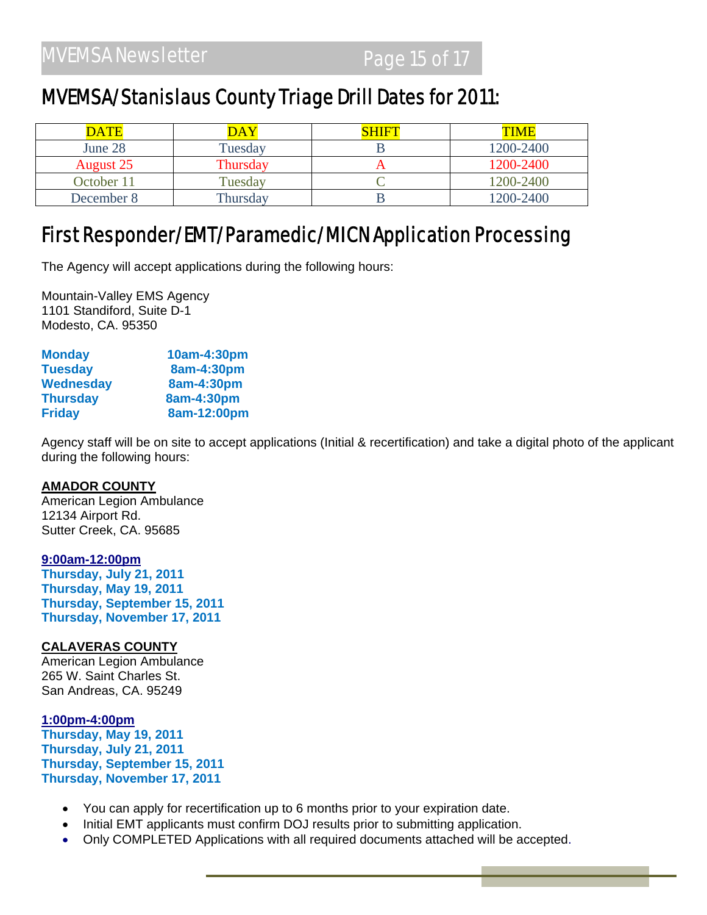### MVEMSA/Stanislaus County Triage Drill Dates for 2011:

| <b>DATE</b> | DAY      | <u>HIE I</u> | <b>TIME</b> |
|-------------|----------|--------------|-------------|
| June 28     | Tuesdav  |              | 1200-2400   |
| August 25   | Thursday |              | 1200-2400   |
| October 11  | Tuesdav  |              | 1200-2400   |
| December 8  | Thursday |              | 1200-2400   |

### First Responder/EMT/Paramedic/MICN Application Processing

The Agency will accept applications during the following hours:

Mountain-Valley EMS Agency 1101 Standiford, Suite D-1 Modesto, CA. 95350

| <b>Monday</b>    | 10am-4:30pm |
|------------------|-------------|
| <b>Tuesday</b>   | 8am-4:30pm  |
| <b>Wednesday</b> | 8am-4:30pm  |
| <b>Thursday</b>  | 8am-4:30pm  |
| <b>Friday</b>    | 8am-12:00pm |

Agency staff will be on site to accept applications (Initial & recertification) and take a digital photo of the applicant during the following hours:

#### **AMADOR COUNTY**

American Legion Ambulance 12134 Airport Rd. Sutter Creek, CA. 95685

#### **9:00am-12:00pm**

**Thursday, July 21, 2011 Thursday, May 19, 2011 Thursday, September 15, 2011 Thursday, November 17, 2011** 

#### **CALAVERAS COUNTY**

American Legion Ambulance 265 W. Saint Charles St. San Andreas, CA. 95249

#### **1:00pm-4:00pm**

**Thursday, May 19, 2011 Thursday, July 21, 2011 Thursday, September 15, 2011 Thursday, November 17, 2011** 

- You can apply for recertification up to 6 months prior to your expiration date.
- Initial EMT applicants must confirm DOJ results prior to submitting application.
- Only COMPLETED Applications with all required documents attached will be accepted.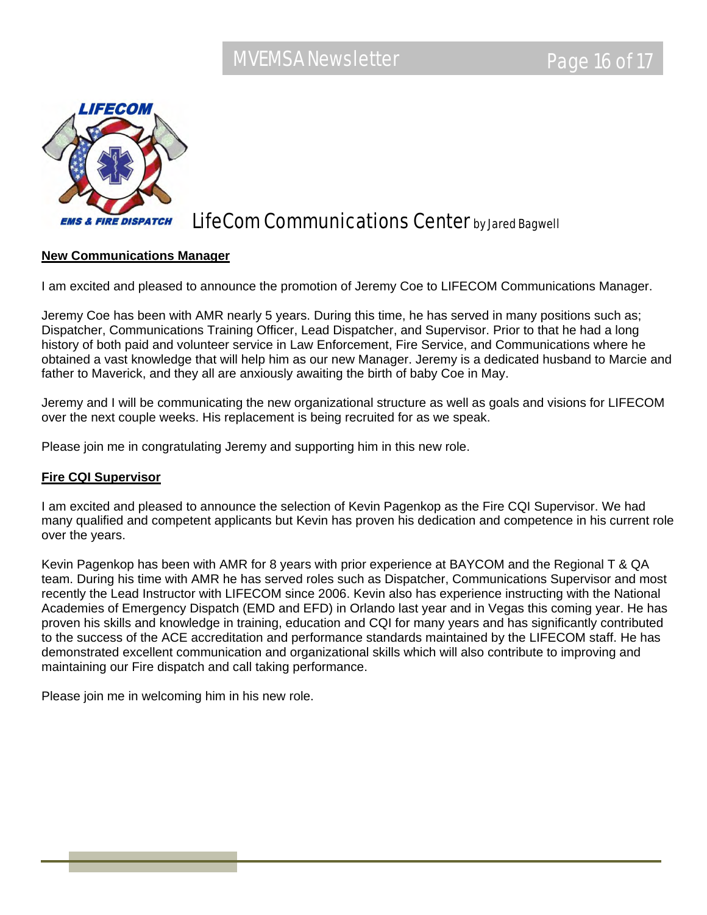

### LifeCom Communications Center by Jared Bagwell

#### **New Communications Manager**

I am excited and pleased to announce the promotion of Jeremy Coe to LIFECOM Communications Manager.

Jeremy Coe has been with AMR nearly 5 years. During this time, he has served in many positions such as; Dispatcher, Communications Training Officer, Lead Dispatcher, and Supervisor. Prior to that he had a long history of both paid and volunteer service in Law Enforcement, Fire Service, and Communications where he obtained a vast knowledge that will help him as our new Manager. Jeremy is a dedicated husband to Marcie and father to Maverick, and they all are anxiously awaiting the birth of baby Coe in May.

Jeremy and I will be communicating the new organizational structure as well as goals and visions for LIFECOM over the next couple weeks. His replacement is being recruited for as we speak.

Please join me in congratulating Jeremy and supporting him in this new role.

#### **Fire CQI Supervisor**

I am excited and pleased to announce the selection of Kevin Pagenkop as the Fire CQI Supervisor. We had many qualified and competent applicants but Kevin has proven his dedication and competence in his current role over the years.

Kevin Pagenkop has been with AMR for 8 years with prior experience at BAYCOM and the Regional T & QA team. During his time with AMR he has served roles such as Dispatcher, Communications Supervisor and most recently the Lead Instructor with LIFECOM since 2006. Kevin also has experience instructing with the National Academies of Emergency Dispatch (EMD and EFD) in Orlando last year and in Vegas this coming year. He has proven his skills and knowledge in training, education and CQI for many years and has significantly contributed to the success of the ACE accreditation and performance standards maintained by the LIFECOM staff. He has demonstrated excellent communication and organizational skills which will also contribute to improving and maintaining our Fire dispatch and call taking performance.

Please join me in welcoming him in his new role.